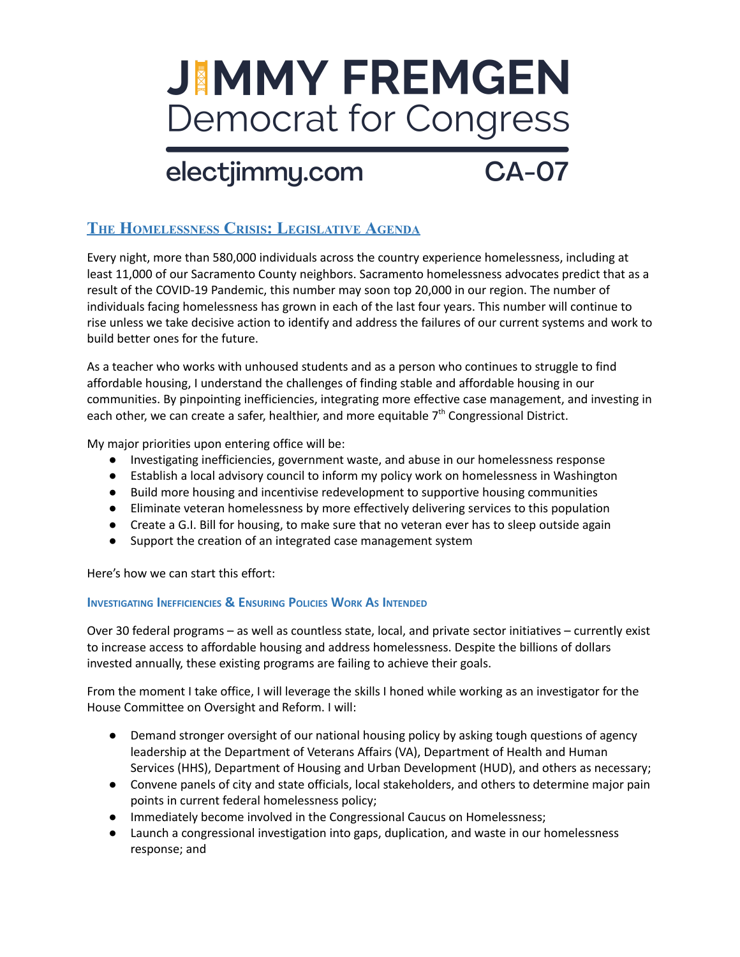# **JIMMY FREMGEN Democrat for Congress**

### electjimmy.com

## $\overline{CA-O7}$

### **THE HOMELESSNESS CRISIS: LEGISLATIVE AGENDA**

Every night, more than 580,000 individuals across the country experience homelessness, including at least 11,000 of our Sacramento County neighbors. Sacramento homelessness advocates predict that as a result of the COVID-19 Pandemic, this number may soon top 20,000 in our region. The number of individuals facing homelessness has grown in each of the last four years. This number will continue to rise unless we take decisive action to identify and address the failures of our current systems and work to build better ones for the future.

As a teacher who works with unhoused students and as a person who continues to struggle to find affordable housing, I understand the challenges of finding stable and affordable housing in our communities. By pinpointing inefficiencies, integrating more effective case management, and investing in each other, we can create a safer, healthier, and more equitable  $7<sup>th</sup>$  Congressional District.

My major priorities upon entering office will be:

- Investigating inefficiencies, government waste, and abuse in our homelessness response
- Establish a local advisory council to inform my policy work on homelessness in Washington
- Build more housing and incentivise redevelopment to supportive housing communities
- Eliminate veteran homelessness by more effectively delivering services to this population
- Create a G.I. Bill for housing, to make sure that no veteran ever has to sleep outside again
- Support the creation of an integrated case management system

Here's how we can start this effort:

#### **INVESTIGATING INEFFICIENCIES** & ENSURING POLICIES WORK AS INTENDED

Over 30 federal programs – as well as countless state, local, and private sector initiatives – currently exist to increase access to affordable housing and address homelessness. Despite the billions of dollars invested annually, these existing programs are failing to achieve their goals.

From the moment I take office, I will leverage the skills I honed while working as an investigator for the House Committee on Oversight and Reform. I will:

- Demand stronger oversight of our national housing policy by asking tough questions of agency leadership at the Department of Veterans Affairs (VA), Department of Health and Human Services (HHS), Department of Housing and Urban Development (HUD), and others as necessary;
- Convene panels of city and state officials, local stakeholders, and others to determine major pain points in current federal homelessness policy;
- Immediately become involved in the Congressional Caucus on Homelessness;
- Launch a congressional investigation into gaps, duplication, and waste in our homelessness response; and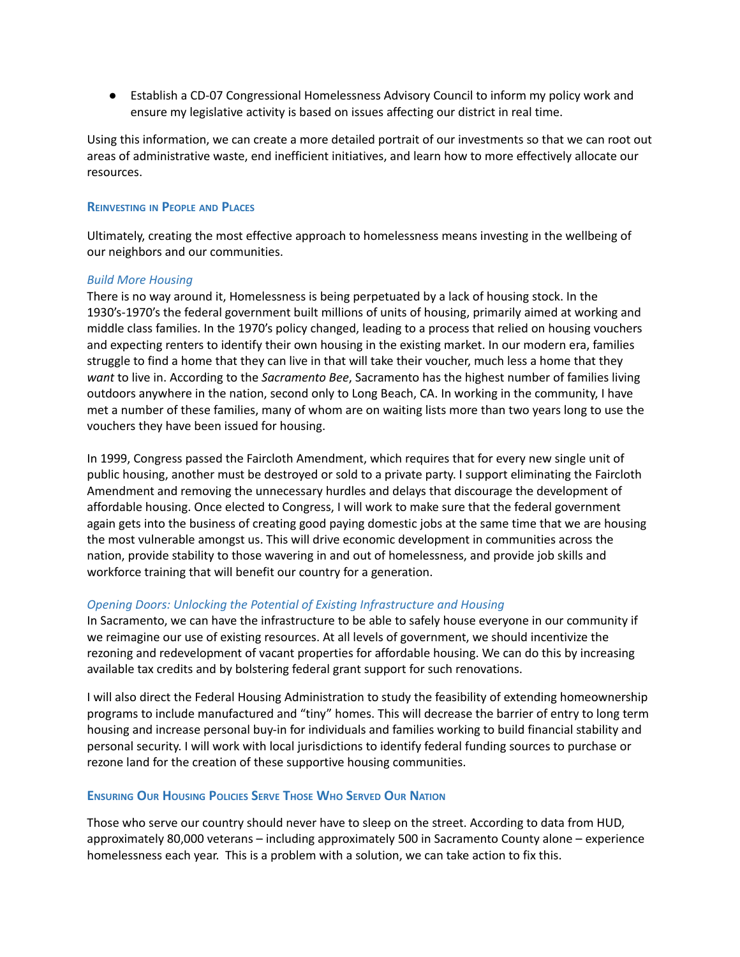● Establish a CD-07 Congressional Homelessness Advisory Council to inform my policy work and ensure my legislative activity is based on issues affecting our district in real time.

Using this information, we can create a more detailed portrait of our investments so that we can root out areas of administrative waste, end inefficient initiatives, and learn how to more effectively allocate our resources.

#### **REINVESTING IN PEOPLE AND PLACES**

Ultimately, creating the most effective approach to homelessness means investing in the wellbeing of our neighbors and our communities.

#### *Build More Housing*

There is no way around it, Homelessness is being perpetuated by a lack of housing stock. In the 1930's-1970's the federal government built millions of units of housing, primarily aimed at working and middle class families. In the 1970's policy changed, leading to a process that relied on housing vouchers and expecting renters to identify their own housing in the existing market. In our modern era, families struggle to find a home that they can live in that will take their voucher, much less a home that they *want* to live in. According to the *Sacramento Bee*, Sacramento has the highest number of families living outdoors anywhere in the nation, second only to Long Beach, CA. In working in the community, I have met a number of these families, many of whom are on waiting lists more than two years long to use the vouchers they have been issued for housing.

In 1999, Congress passed the Faircloth Amendment, which requires that for every new single unit of public housing, another must be destroyed or sold to a private party. I support eliminating the Faircloth Amendment and removing the unnecessary hurdles and delays that discourage the development of affordable housing. Once elected to Congress, I will work to make sure that the federal government again gets into the business of creating good paying domestic jobs at the same time that we are housing the most vulnerable amongst us. This will drive economic development in communities across the nation, provide stability to those wavering in and out of homelessness, and provide job skills and workforce training that will benefit our country for a generation.

#### *Opening Doors: Unlocking the Potential of Existing Infrastructure and Housing*

In Sacramento, we can have the infrastructure to be able to safely house everyone in our community if we reimagine our use of existing resources. At all levels of government, we should incentivize the rezoning and redevelopment of vacant properties for affordable housing. We can do this by increasing available tax credits and by bolstering federal grant support for such renovations.

I will also direct the Federal Housing Administration to study the feasibility of extending homeownership programs to include manufactured and "tiny" homes. This will decrease the barrier of entry to long term housing and increase personal buy-in for individuals and families working to build financial stability and personal security. I will work with local jurisdictions to identify federal funding sources to purchase or rezone land for the creation of these supportive housing communities.

#### **ENSURING OUR HOUSING POLICIES SERVE THOSE WHO SERVED OUR NATION**

Those who serve our country should never have to sleep on the street. According to data from HUD, approximately 80,000 veterans – including approximately 500 in Sacramento County alone – experience homelessness each year. This is a problem with a solution, we can take action to fix this.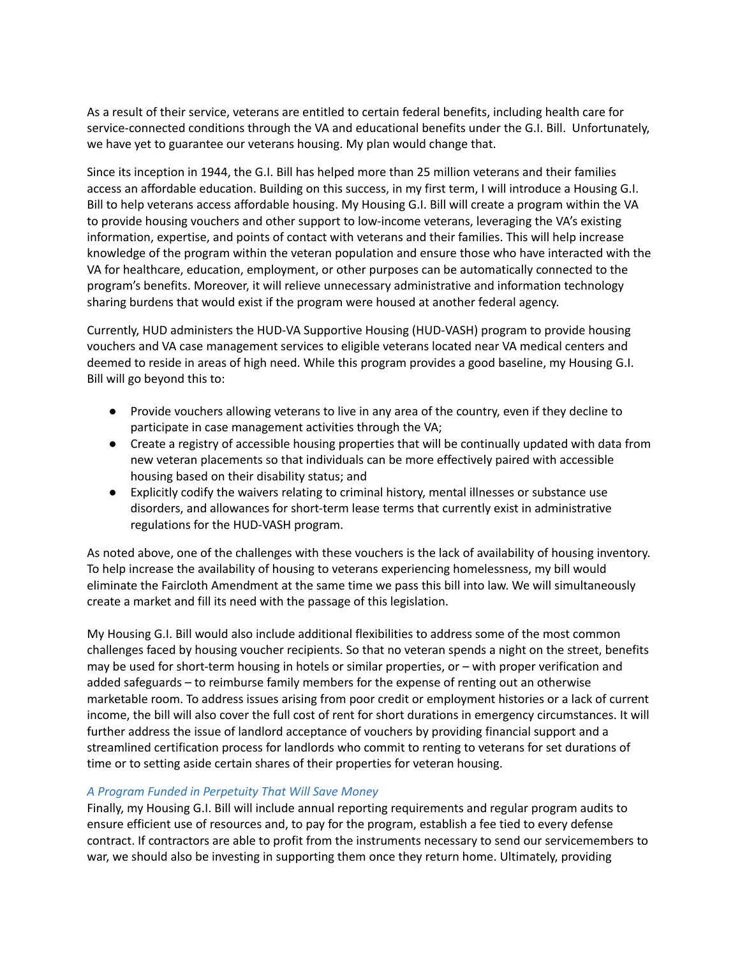As a result of their service, veterans are entitled to certain federal benefits, including health care for service-connected conditions through the VA and educational benefits under the G.I. Bill. Unfortunately, we have yet to guarantee our veterans housing. My plan would change that.

Since its inception in 1944, the G.I. Bill has helped more than 25 million veterans and their families access an affordable education. Building on this success, in my first term, I will introduce a Housing G.I. Bill to help veterans access affordable housing. My Housing G.I. Bill will create a program within the VA to provide housing vouchers and other support to low-income veterans, leveraging the VA's existing information, expertise, and points of contact with veterans and their families. This will help increase knowledge of the program within the veteran population and ensure those who have interacted with the VA for healthcare, education, employment, or other purposes can be automatically connected to the program's benefits. Moreover, it will relieve unnecessary administrative and information technology sharing burdens that would exist if the program were housed at another federal agency.

Currently, HUD administers the HUD-VA Supportive Housing (HUD-VASH) program to provide housing vouchers and VA case management services to eligible veterans located near VA medical centers and deemed to reside in areas of high need. While this program provides a good baseline, my Housing G.I. Bill will go beyond this to:

- Provide vouchers allowing veterans to live in any area of the country, even if they decline to participate in case management activities through the VA;
- Create a registry of accessible housing properties that will be continually updated with data from new veteran placements so that individuals can be more effectively paired with accessible housing based on their disability status; and
- Explicitly codify the waivers relating to criminal history, mental illnesses or substance use disorders, and allowances for short-term lease terms that currently exist in administrative regulations for the HUD-VASH program.

As noted above, one of the challenges with these vouchers is the lack of availability of housing inventory. To help increase the availability of housing to veterans experiencing homelessness, my bill would eliminate the Faircloth Amendment at the same time we pass this bill into law. We will simultaneously create a market and fill its need with the passage of this legislation.

My Housing G.I. Bill would also include additional flexibilities to address some of the most common challenges faced by housing voucher recipients. So that no veteran spends a night on the street, benefits may be used for short-term housing in hotels or similar properties, or – with proper verification and added safeguards – to reimburse family members for the expense of renting out an otherwise marketable room. To address issues arising from poor credit or employment histories or a lack of current income, the bill will also cover the full cost of rent for short durations in emergency circumstances. It will further address the issue of landlord acceptance of vouchers by providing financial support and a streamlined certification process for landlords who commit to renting to veterans for set durations of time or to setting aside certain shares of their properties for veteran housing.

#### *A Program Funded in Perpetuity That Will Save Money*

Finally, my Housing G.I. Bill will include annual reporting requirements and regular program audits to ensure efficient use of resources and, to pay for the program, establish a fee tied to every defense contract. If contractors are able to profit from the instruments necessary to send our servicemembers to war, we should also be investing in supporting them once they return home. Ultimately, providing